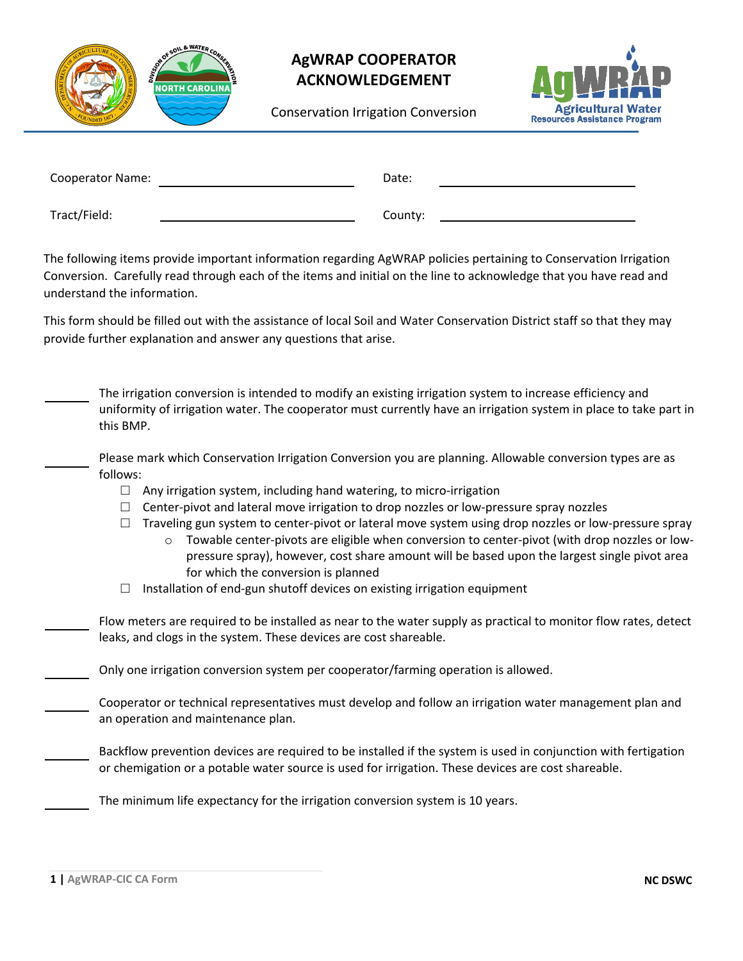

## **AgWRAP COOPERATOR ACKNOWLEDGEMENT**

Conservation Irrigation Conversion



| Cooperator Name: | Date:   |  |
|------------------|---------|--|
| Tract/Field:     | County: |  |

The following items provide important information regarding AgWRAP policies pertaining to Conservation Irrigation Conversion. Carefully read through each of the items and initial on the line to acknowledge that you have read and understand the information.

This form should be filled out with the assistance of local Soil and Water Conservation District staff so that they may provide further explanation and answer any questions that arise.

| The irrigation conversion is intended to modify an existing irrigation system to increase efficiency and<br>uniformity of irrigation water. The cooperator must currently have an irrigation system in place to take part in<br>this BMP.                                                                                                                                                                                                                                                                                                                                                                                                                                                                                              |
|----------------------------------------------------------------------------------------------------------------------------------------------------------------------------------------------------------------------------------------------------------------------------------------------------------------------------------------------------------------------------------------------------------------------------------------------------------------------------------------------------------------------------------------------------------------------------------------------------------------------------------------------------------------------------------------------------------------------------------------|
| Please mark which Conservation Irrigation Conversion you are planning. Allowable conversion types are as<br>follows:<br>Any irrigation system, including hand watering, to micro-irrigation<br>$\Box$<br>Center-pivot and lateral move irrigation to drop nozzles or low-pressure spray nozzles<br>Traveling gun system to center-pivot or lateral move system using drop nozzles or low-pressure spray<br>Towable center-pivots are eligible when conversion to center-pivot (with drop nozzles or low-<br>$\circ$<br>pressure spray), however, cost share amount will be based upon the largest single pivot area<br>for which the conversion is planned<br>Installation of end-gun shutoff devices on existing irrigation equipment |
| Flow meters are required to be installed as near to the water supply as practical to monitor flow rates, detect<br>leaks, and clogs in the system. These devices are cost shareable.                                                                                                                                                                                                                                                                                                                                                                                                                                                                                                                                                   |
| Only one irrigation conversion system per cooperator/farming operation is allowed.                                                                                                                                                                                                                                                                                                                                                                                                                                                                                                                                                                                                                                                     |
| Cooperator or technical representatives must develop and follow an irrigation water management plan and<br>an operation and maintenance plan.                                                                                                                                                                                                                                                                                                                                                                                                                                                                                                                                                                                          |
| Backflow prevention devices are required to be installed if the system is used in conjunction with fertigation<br>or chemigation or a potable water source is used for irrigation. These devices are cost shareable.                                                                                                                                                                                                                                                                                                                                                                                                                                                                                                                   |
| The minimum life expectancy for the irrigation conversion system is 10 years.                                                                                                                                                                                                                                                                                                                                                                                                                                                                                                                                                                                                                                                          |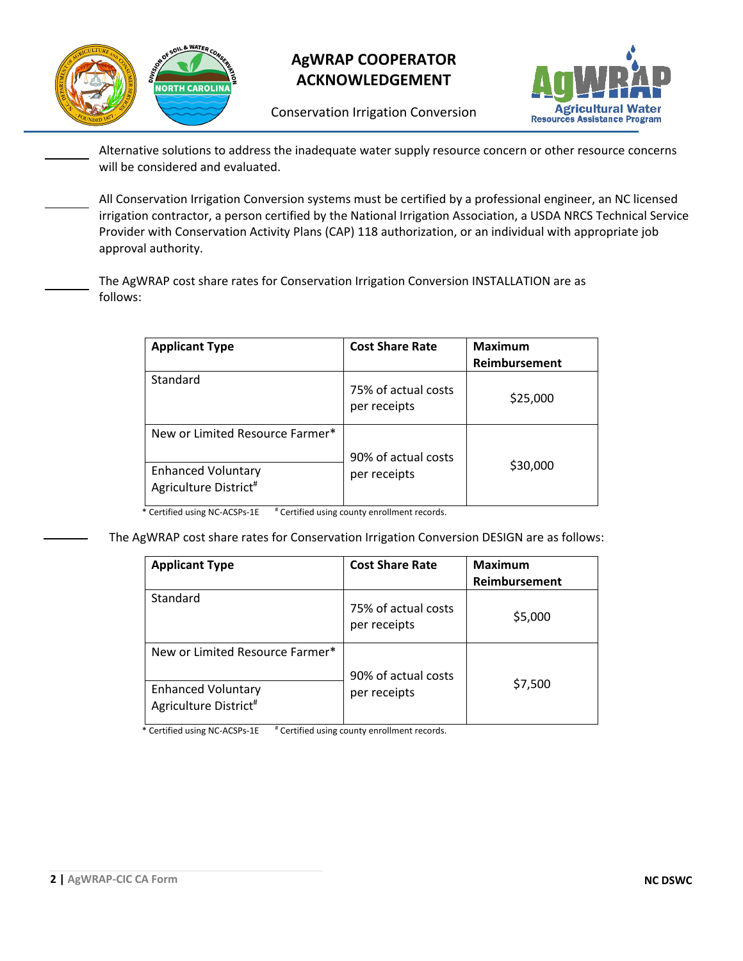

## **AgWRAP COOPERATOR ACKNOWLEDGEMENT**

Conservation Irrigation Conversion



Alternative solutions to address the inadequate water supply resource concern or other resource concerns will be considered and evaluated.

All Conservation Irrigation Conversion systems must be certified by a professional engineer, an NC licensed irrigation contractor, a person certified by the National Irrigation Association, a USDA NRCS Technical Service Provider with Conservation Activity Plans (CAP) 118 authorization, or an individual with appropriate job approval authority.

The AgWRAP cost share rates for Conservation Irrigation Conversion INSTALLATION are as follows:

| <b>Applicant Type</b>                                                                             | <b>Cost Share Rate</b>              | <b>Maximum</b><br>Reimbursement |
|---------------------------------------------------------------------------------------------------|-------------------------------------|---------------------------------|
| Standard                                                                                          | 75% of actual costs<br>per receipts | \$25,000                        |
| New or Limited Resource Farmer*<br><b>Enhanced Voluntary</b><br>Agriculture District <sup>#</sup> | 90% of actual costs<br>per receipts | \$30,000                        |

\* Certified using NC-ACSPs-1E # Certified using county enrollment records.

The AgWRAP cost share rates for Conservation Irrigation Conversion DESIGN are as follows:

| <b>Applicant Type</b>                                          | <b>Cost Share Rate</b>              | <b>Maximum</b> |
|----------------------------------------------------------------|-------------------------------------|----------------|
|                                                                |                                     | Reimbursement  |
| Standard                                                       | 75% of actual costs<br>per receipts | \$5,000        |
| New or Limited Resource Farmer*                                | 90% of actual costs                 |                |
| <b>Enhanced Voluntary</b><br>Agriculture District <sup>#</sup> | per receipts                        | \$7,500        |

\* Certified using NC-ACSPs-1E # Certified using county enrollment records.